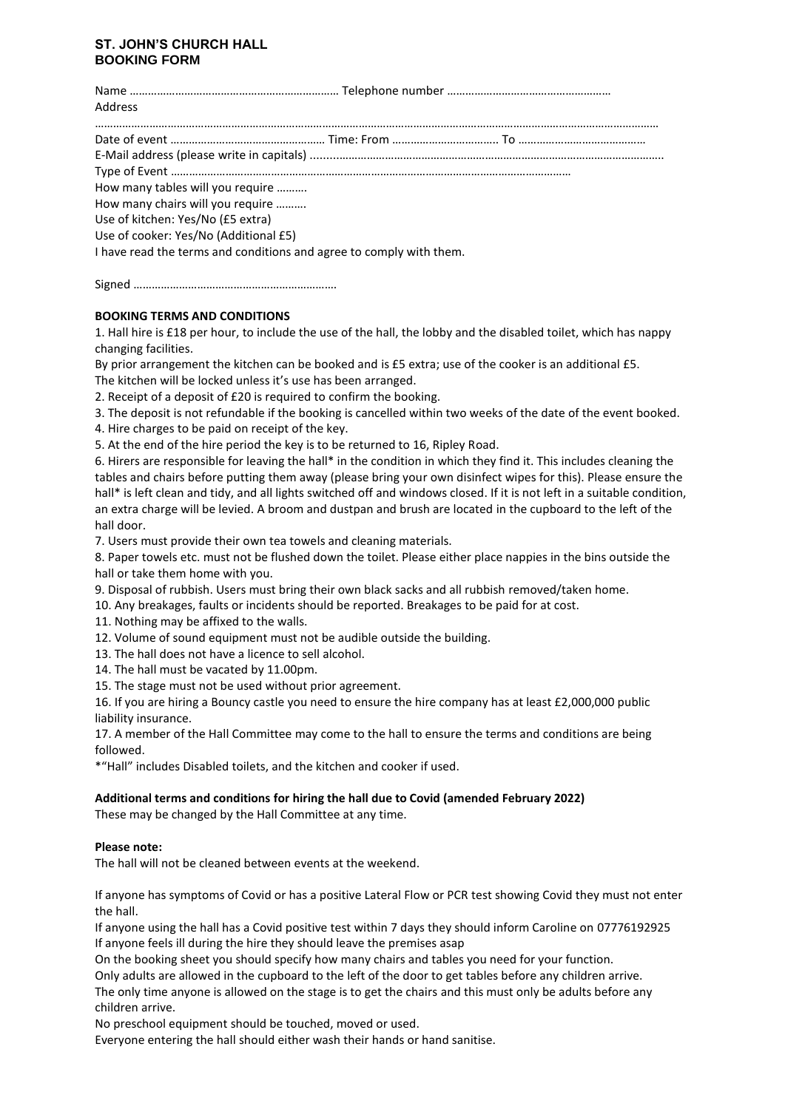## **ST. JOHN'S CHURCH HALL BOOKING FORM**

| Address                                                             |  |  |
|---------------------------------------------------------------------|--|--|
|                                                                     |  |  |
|                                                                     |  |  |
|                                                                     |  |  |
| How many tables will you require                                    |  |  |
| How many chairs will you require                                    |  |  |
| Use of kitchen: Yes/No (£5 extra)                                   |  |  |
| Use of cooker: Yes/No (Additional £5)                               |  |  |
| I have read the terms and conditions and agree to comply with them. |  |  |

Signed ………………………………………………………….

## **BOOKING TERMS AND CONDITIONS**

1. Hall hire is £18 per hour, to include the use of the hall, the lobby and the disabled toilet, which has nappy changing facilities.

By prior arrangement the kitchen can be booked and is £5 extra; use of the cooker is an additional £5. The kitchen will be locked unless it's use has been arranged.

2. Receipt of a deposit of £20 is required to confirm the booking.

3. The deposit is not refundable if the booking is cancelled within two weeks of the date of the event booked.

4. Hire charges to be paid on receipt of the key.

5. At the end of the hire period the key is to be returned to 16, Ripley Road.

6. Hirers are responsible for leaving the hall\* in the condition in which they find it. This includes cleaning the tables and chairs before putting them away (please bring your own disinfect wipes for this). Please ensure the hall\* is left clean and tidy, and all lights switched off and windows closed. If it is not left in a suitable condition, an extra charge will be levied. A broom and dustpan and brush are located in the cupboard to the left of the hall door.

7. Users must provide their own tea towels and cleaning materials.

8. Paper towels etc. must not be flushed down the toilet. Please either place nappies in the bins outside the hall or take them home with you.

9. Disposal of rubbish. Users must bring their own black sacks and all rubbish removed/taken home.

10. Any breakages, faults or incidents should be reported. Breakages to be paid for at cost.

11. Nothing may be affixed to the walls.

12. Volume of sound equipment must not be audible outside the building.

13. The hall does not have a licence to sell alcohol.

14. The hall must be vacated by 11.00pm.

15. The stage must not be used without prior agreement.

16. If you are hiring a Bouncy castle you need to ensure the hire company has at least £2,000,000 public liability insurance.

17. A member of the Hall Committee may come to the hall to ensure the terms and conditions are being followed.

\*"Hall" includes Disabled toilets, and the kitchen and cooker if used.

## **Additional terms and conditions for hiring the hall due to Covid (amended February 2022)**

These may be changed by the Hall Committee at any time.

## **Please note:**

The hall will not be cleaned between events at the weekend.

If anyone has symptoms of Covid or has a positive Lateral Flow or PCR test showing Covid they must not enter the hall.

If anyone using the hall has a Covid positive test within 7 days they should inform Caroline on 07776192925 If anyone feels ill during the hire they should leave the premises asap

On the booking sheet you should specify how many chairs and tables you need for your function.

Only adults are allowed in the cupboard to the left of the door to get tables before any children arrive. The only time anyone is allowed on the stage is to get the chairs and this must only be adults before any children arrive.

No preschool equipment should be touched, moved or used.

Everyone entering the hall should either wash their hands or hand sanitise.